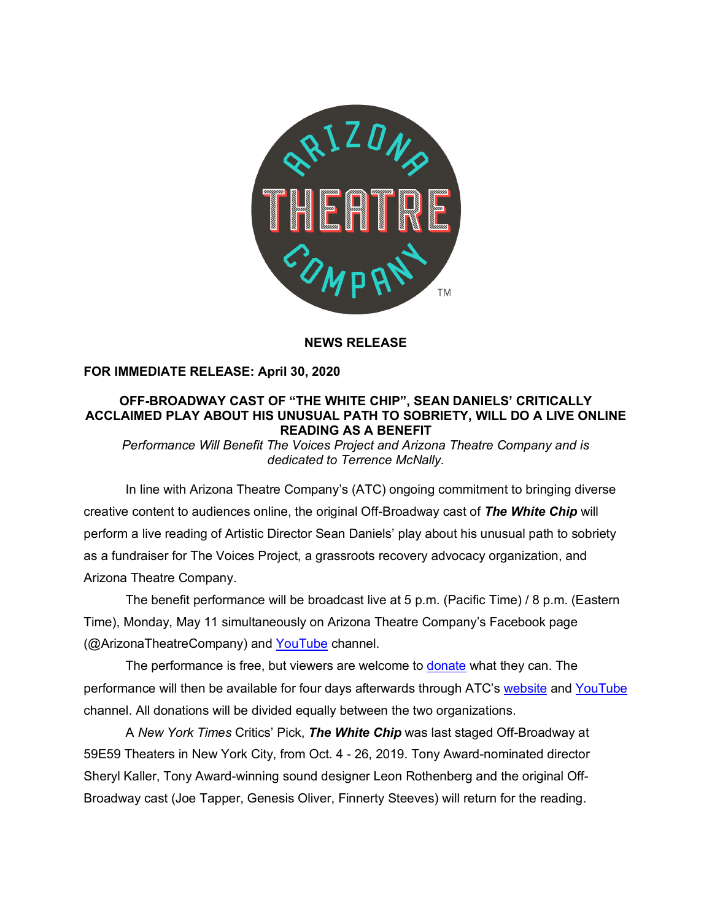

## **NEWS RELEASE**

# **FOR IMMEDIATE RELEASE: April 30, 2020**

# **OFF-BROADWAY CAST OF "THE WHITE CHIP", SEAN DANIELS' CRITICALLY ACCLAIMED PLAY ABOUT HIS UNUSUAL PATH TO SOBRIETY, WILL DO A LIVE ONLINE READING AS A BENEFIT**

*Performance Will Benefit The Voices Project and Arizona Theatre Company and is dedicated to Terrence McNally.*

 In line with Arizona Theatre Company's (ATC) ongoing commitment to bringing diverse creative content to audiences online, the original Off-Broadway cast of *The White Chip* will perform a live reading of Artistic Director Sean Daniels' play about his unusual path to sobriety as a fundraiser for The Voices Project, a grassroots recovery advocacy organization, and Arizona Theatre Company.

The benefit performance will be broadcast live at 5 p.m. (Pacific Time) / 8 p.m. (Eastern Time), Monday, May 11 simultaneously on Arizona Theatre Company's Facebook page (@ArizonaTheatreCompany) and YouTube channel.

The performance is free, but viewers are welcome to donate what they can. The performance will then be available for four days afterwards through ATC's website and YouTube channel. All donations will be divided equally between the two organizations.

A *New York Times* Critics' Pick, *The White Chip* was last staged Off-Broadway at 59E59 Theaters in New York City, from Oct. 4 - 26, 2019. Tony Award-nominated director Sheryl Kaller, Tony Award-winning sound designer Leon Rothenberg and the original Off-Broadway cast (Joe Tapper, Genesis Oliver, Finnerty Steeves) will return for the reading.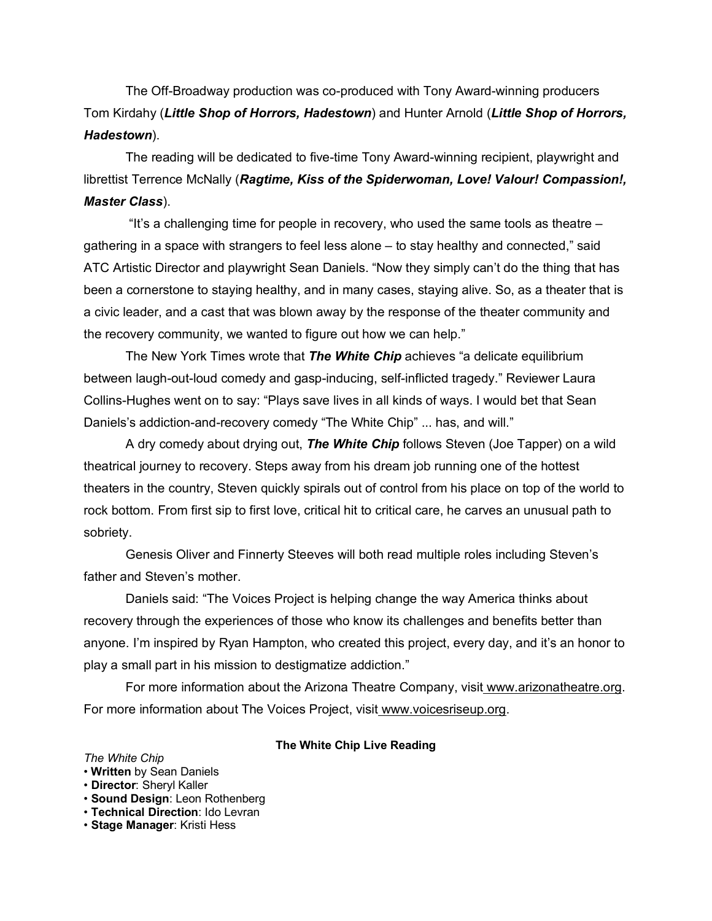The Off-Broadway production was co-produced with Tony Award-winning producers Tom Kirdahy (*Little Shop of Horrors, Hadestown*) and Hunter Arnold (*Little Shop of Horrors, Hadestown*).

The reading will be dedicated to five-time Tony Award-winning recipient, playwright and librettist Terrence McNally (*Ragtime, Kiss of the Spiderwoman, Love! Valour! Compassion!, Master Class*).

"It's a challenging time for people in recovery, who used the same tools as theatre – gathering in a space with strangers to feel less alone – to stay healthy and connected," said ATC Artistic Director and playwright Sean Daniels. "Now they simply can't do the thing that has been a cornerstone to staying healthy, and in many cases, staying alive. So, as a theater that is a civic leader, and a cast that was blown away by the response of the theater community and the recovery community, we wanted to figure out how we can help."

The New York Times wrote that *The White Chip* achieves "a delicate equilibrium between laugh-out-loud comedy and gasp-inducing, self-inflicted tragedy." Reviewer Laura Collins-Hughes went on to say: "Plays save lives in all kinds of ways. I would bet that Sean Daniels's addiction-and-recovery comedy "The White Chip" ... has, and will."

A dry comedy about drying out, *The White Chip* follows Steven (Joe Tapper) on a wild theatrical journey to recovery. Steps away from his dream job running one of the hottest theaters in the country, Steven quickly spirals out of control from his place on top of the world to rock bottom. From first sip to first love, critical hit to critical care, he carves an unusual path to sobriety.

Genesis Oliver and Finnerty Steeves will both read multiple roles including Steven's father and Steven's mother.

Daniels said: "The Voices Project is helping change the way America thinks about recovery through the experiences of those who know its challenges and benefits better than anyone. I'm inspired by Ryan Hampton, who created this project, every day, and it's an honor to play a small part in his mission to destigmatize addiction."

For more information about the Arizona Theatre Company, visit www.arizonatheatre.org. For more information about The Voices Project, visit www.voicesriseup.org.

### **The White Chip Live Reading**

#### *The White Chip*

#### • **Written** by Sean Daniels

- **Director**: Sheryl Kaller
- **Sound Design**: Leon Rothenberg
- **Technical Direction**: Ido Levran
- **Stage Manager**: Kristi Hess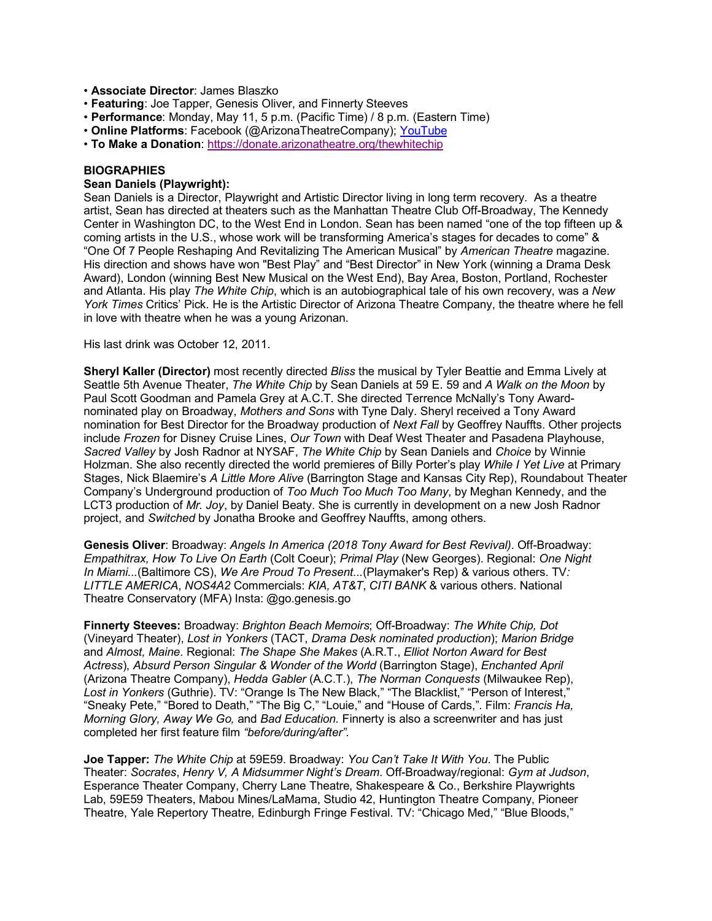- **Associate Director**: James Blaszko
- **Featuring**: Joe Tapper, Genesis Oliver, and Finnerty Steeves
- **Performance**: Monday, May 11, 5 p.m. (Pacific Time) / 8 p.m. (Eastern Time)
- **Online Platforms**: Facebook (@ArizonaTheatreCompany); YouTube
- **To Make a Donation**: https://donate.arizonatheatre.org/thewhitechip

### **BIOGRAPHIES**

#### **Sean Daniels (Playwright):**

Sean Daniels is a Director, Playwright and Artistic Director living in long term recovery. As a theatre artist, Sean has directed at theaters such as the Manhattan Theatre Club Off-Broadway, The Kennedy Center in Washington DC, to the West End in London. Sean has been named "one of the top fifteen up & coming artists in the U.S., whose work will be transforming America's stages for decades to come" & "One Of 7 People Reshaping And Revitalizing The American Musical" by *American Theatre* magazine. His direction and shows have won "Best Play" and "Best Director" in New York (winning a Drama Desk Award), London (winning Best New Musical on the West End), Bay Area, Boston, Portland, Rochester and Atlanta. His play *The White Chip*, which is an autobiographical tale of his own recovery, was a *New York Times* Critics' Pick. He is the Artistic Director of Arizona Theatre Company, the theatre where he fell in love with theatre when he was a young Arizonan.

#### His last drink was October 12, 2011.

**Sheryl Kaller (Director)** most recently directed *Bliss* the musical by Tyler Beattie and Emma Lively at Seattle 5th Avenue Theater, *The White Chip* by Sean Daniels at 59 E. 59 and *A Walk on the Moon* by Paul Scott Goodman and Pamela Grey at A.C.T. She directed Terrence McNally's Tony Awardnominated play on Broadway, *Mothers and Sons* with Tyne Daly. Sheryl received a Tony Award nomination for Best Director for the Broadway production of *Next Fall* by Geoffrey Nauffts. Other projects include *Frozen* for Disney Cruise Lines, *Our Town* with Deaf West Theater and Pasadena Playhouse, *Sacred Valley* by Josh Radnor at NYSAF, *The White Chip* by Sean Daniels and *Choice* by Winnie Holzman. She also recently directed the world premieres of Billy Porter's play *While I Yet Live* at Primary Stages, Nick Blaemire's *A Little More Alive* (Barrington Stage and Kansas City Rep), Roundabout Theater Company's Underground production of *Too Much Too Much Too Many*, by Meghan Kennedy, and the LCT3 production of *Mr. Joy*, by Daniel Beaty. She is currently in development on a new Josh Radnor project, and *Switched* by Jonatha Brooke and Geoffrey Nauffts, among others.

**Genesis Oliver**: Broadway: *Angels In America (2018 Tony Award for Best Revival)*. Off-Broadway: *Empathitrax, How To Live On Earth* (Colt Coeur); *Primal Play* (New Georges). Regional: *One Night In Miami...*(Baltimore CS), *We Are Proud To Present...*(Playmaker's Rep) & various others. TV*: LITTLE AMERICA*, *NOS4A2* Commercials: *KIA, AT&T*, *CITI BANK* & various others. National Theatre Conservatory (MFA) Insta: @go.genesis.go

**Finnerty Steeves:** Broadway: *Brighton Beach Memoirs*; Off-Broadway: *The White Chip, Dot* (Vineyard Theater), *Lost in Yonkers* (TACT, *Drama Desk nominated production*); *Marion Bridge* and *Almost, Maine*. Regional: *The Shape She Makes* (A.R.T., *Elliot Norton Award for Best Actress*), *Absurd Person Singular & Wonder of the World* (Barrington Stage), *Enchanted April* (Arizona Theatre Company), *Hedda Gabler* (A.C.T.), *The Norman Conquests* (Milwaukee Rep), *Lost in Yonkers* (Guthrie). TV: "Orange Is The New Black," "The Blacklist," "Person of Interest," "Sneaky Pete," "Bored to Death," "The Big C," "Louie," and "House of Cards,". Film: *Francis Ha, Morning Glory, Away We Go,* and *Bad Education.* Finnerty is also a screenwriter and has just completed her first feature film *"before/during/after".*

**Joe Tapper:** *The White Chip* at 59E59. Broadway: *You Can't Take It With You*. The Public Theater: *Socrates*, *Henry V, A Midsummer Night's Dream*. Off-Broadway/regional: *Gym at Judson*, Esperance Theater Company, Cherry Lane Theatre, Shakespeare & Co., Berkshire Playwrights Lab, 59E59 Theaters, Mabou Mines/LaMama, Studio 42, Huntington Theatre Company, Pioneer Theatre, Yale Repertory Theatre, Edinburgh Fringe Festival. TV: "Chicago Med," "Blue Bloods,"